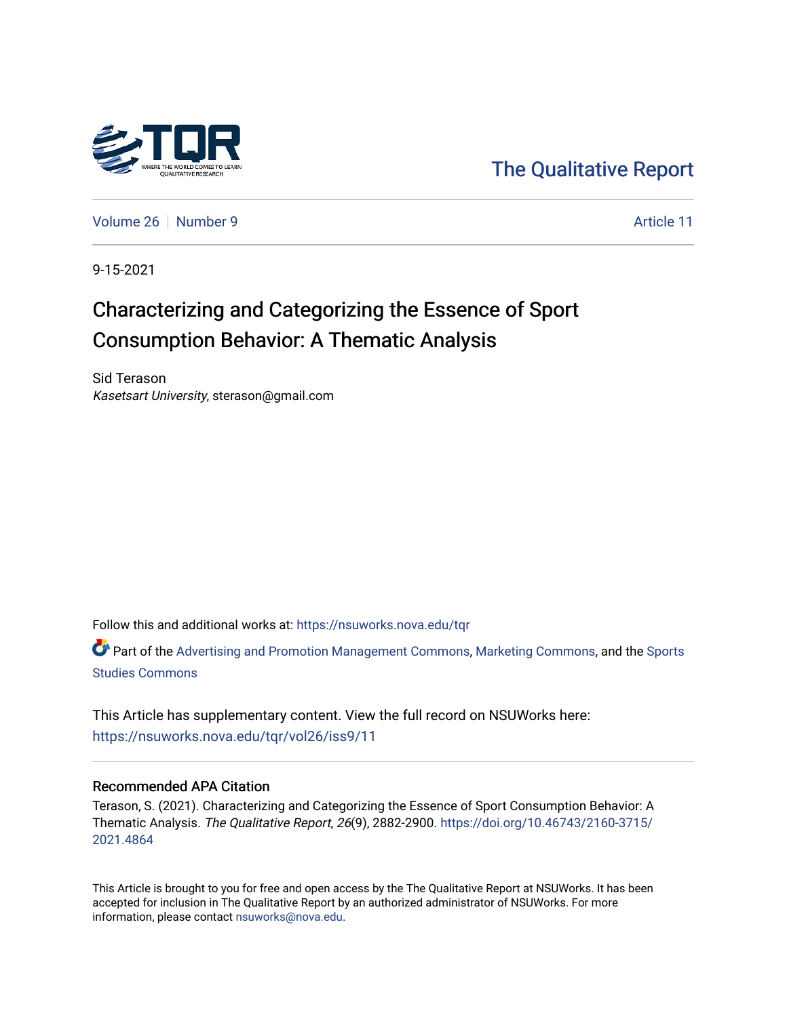

[The Qualitative Report](https://nsuworks.nova.edu/tqr) 

[Volume 26](https://nsuworks.nova.edu/tqr/vol26) [Number 9](https://nsuworks.nova.edu/tqr/vol26/iss9) Article 11

9-15-2021

# Characterizing and Categorizing the Essence of Sport Consumption Behavior: A Thematic Analysis

Sid Terason Kasetsart University, sterason@gmail.com

Follow this and additional works at: [https://nsuworks.nova.edu/tqr](https://nsuworks.nova.edu/tqr?utm_source=nsuworks.nova.edu%2Ftqr%2Fvol26%2Fiss9%2F11&utm_medium=PDF&utm_campaign=PDFCoverPages) 

Part of the [Advertising and Promotion Management Commons,](http://network.bepress.com/hgg/discipline/626?utm_source=nsuworks.nova.edu%2Ftqr%2Fvol26%2Fiss9%2F11&utm_medium=PDF&utm_campaign=PDFCoverPages) [Marketing Commons](http://network.bepress.com/hgg/discipline/638?utm_source=nsuworks.nova.edu%2Ftqr%2Fvol26%2Fiss9%2F11&utm_medium=PDF&utm_campaign=PDFCoverPages), and the [Sports](http://network.bepress.com/hgg/discipline/1198?utm_source=nsuworks.nova.edu%2Ftqr%2Fvol26%2Fiss9%2F11&utm_medium=PDF&utm_campaign=PDFCoverPages)  [Studies Commons](http://network.bepress.com/hgg/discipline/1198?utm_source=nsuworks.nova.edu%2Ftqr%2Fvol26%2Fiss9%2F11&utm_medium=PDF&utm_campaign=PDFCoverPages) 

This Article has supplementary content. View the full record on NSUWorks here: <https://nsuworks.nova.edu/tqr/vol26/iss9/11>

#### Recommended APA Citation

Terason, S. (2021). Characterizing and Categorizing the Essence of Sport Consumption Behavior: A Thematic Analysis. The Qualitative Report, 26(9), 2882-2900. [https://doi.org/10.46743/2160-3715/](https://doi.org/10.46743/2160-3715/2021.4864) [2021.4864](https://doi.org/10.46743/2160-3715/2021.4864) 

This Article is brought to you for free and open access by the The Qualitative Report at NSUWorks. It has been accepted for inclusion in The Qualitative Report by an authorized administrator of NSUWorks. For more information, please contact [nsuworks@nova.edu.](mailto:nsuworks@nova.edu)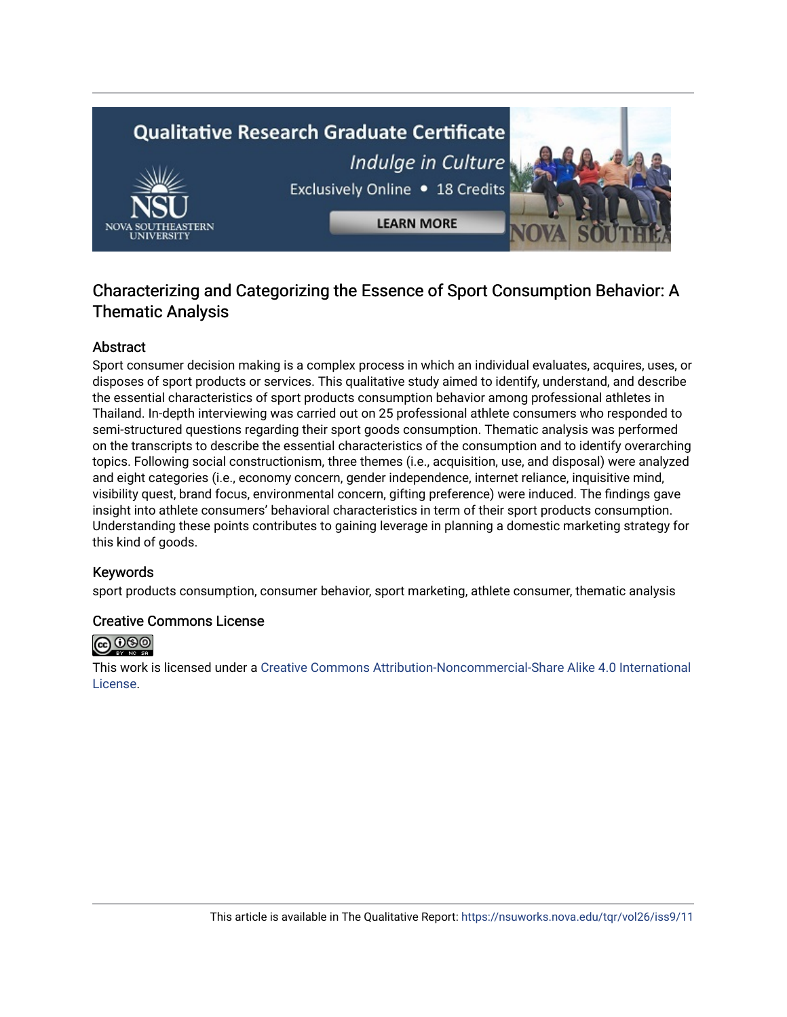# **Qualitative Research Graduate Certificate** Indulge in Culture Exclusively Online . 18 Credits



# Characterizing and Categorizing the Essence of Sport Consumption Behavior: A Thematic Analysis

# Abstract

Sport consumer decision making is a complex process in which an individual evaluates, acquires, uses, or disposes of sport products or services. This qualitative study aimed to identify, understand, and describe the essential characteristics of sport products consumption behavior among professional athletes in Thailand. In-depth interviewing was carried out on 25 professional athlete consumers who responded to semi-structured questions regarding their sport goods consumption. Thematic analysis was performed on the transcripts to describe the essential characteristics of the consumption and to identify overarching topics. Following social constructionism, three themes (i.e., acquisition, use, and disposal) were analyzed and eight categories (i.e., economy concern, gender independence, internet reliance, inquisitive mind, visibility quest, brand focus, environmental concern, gifting preference) were induced. The findings gave insight into athlete consumers' behavioral characteristics in term of their sport products consumption. Understanding these points contributes to gaining leverage in planning a domestic marketing strategy for this kind of goods.

# Keywords

sport products consumption, consumer behavior, sport marketing, athlete consumer, thematic analysis

# Creative Commons License



This work is licensed under a [Creative Commons Attribution-Noncommercial-Share Alike 4.0 International](https://creativecommons.org/licenses/by-nc-sa/4.0/)  [License](https://creativecommons.org/licenses/by-nc-sa/4.0/).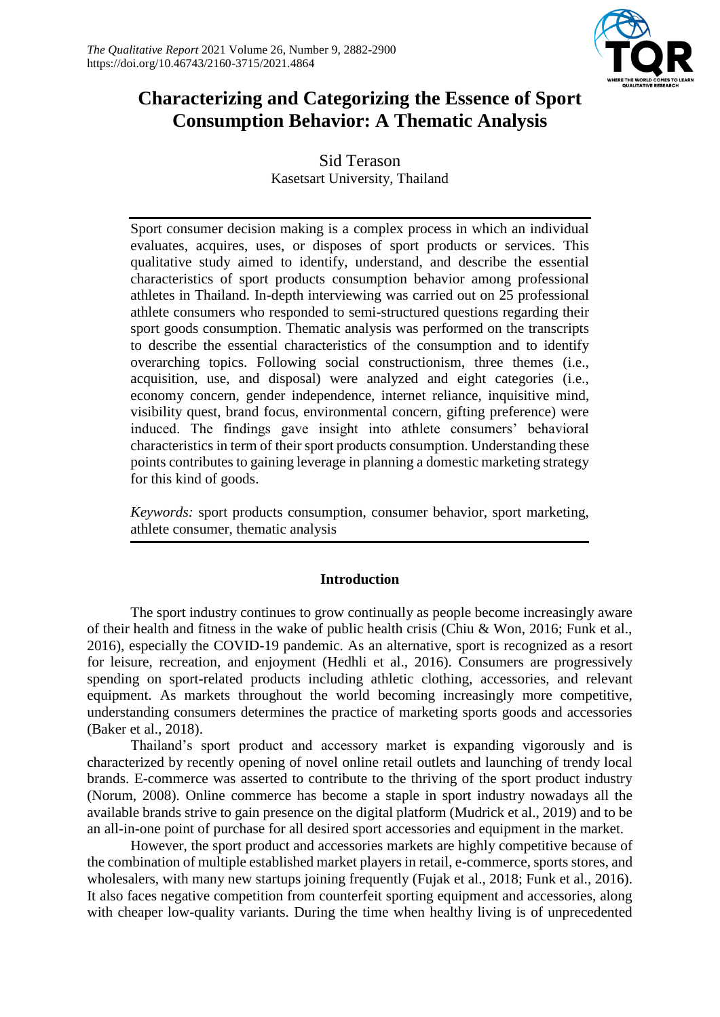

# **Characterizing and Categorizing the Essence of Sport Consumption Behavior: A Thematic Analysis**

Sid Terason Kasetsart University, Thailand

Sport consumer decision making is a complex process in which an individual evaluates, acquires, uses, or disposes of sport products or services. This qualitative study aimed to identify, understand, and describe the essential characteristics of sport products consumption behavior among professional athletes in Thailand. In-depth interviewing was carried out on 25 professional athlete consumers who responded to semi-structured questions regarding their sport goods consumption. Thematic analysis was performed on the transcripts to describe the essential characteristics of the consumption and to identify overarching topics. Following social constructionism, three themes (i.e., acquisition, use, and disposal) were analyzed and eight categories (i.e., economy concern, gender independence, internet reliance, inquisitive mind, visibility quest, brand focus, environmental concern, gifting preference) were induced. The findings gave insight into athlete consumers' behavioral characteristics in term of their sport products consumption. Understanding these points contributes to gaining leverage in planning a domestic marketing strategy for this kind of goods.

*Keywords:* sport products consumption, consumer behavior, sport marketing, athlete consumer, thematic analysis

# **Introduction**

The sport industry continues to grow continually as people become increasingly aware of their health and fitness in the wake of public health crisis (Chiu & Won, 2016; Funk et al., 2016), especially the COVID-19 pandemic. As an alternative, sport is recognized as a resort for leisure, recreation, and enjoyment (Hedhli et al., 2016). Consumers are progressively spending on sport-related products including athletic clothing, accessories, and relevant equipment. As markets throughout the world becoming increasingly more competitive, understanding consumers determines the practice of marketing sports goods and accessories (Baker et al., 2018).

Thailand's sport product and accessory market is expanding vigorously and is characterized by recently opening of novel online retail outlets and launching of trendy local brands. E-commerce was asserted to contribute to the thriving of the sport product industry (Norum, 2008). Online commerce has become a staple in sport industry nowadays all the available brands strive to gain presence on the digital platform (Mudrick et al., 2019) and to be an all-in-one point of purchase for all desired sport accessories and equipment in the market.

However, the sport product and accessories markets are highly competitive because of the combination of multiple established market players in retail, e-commerce, sports stores, and wholesalers, with many new startups joining frequently (Fujak et al., 2018; Funk et al., 2016). It also faces negative competition from counterfeit sporting equipment and accessories, along with cheaper low-quality variants. During the time when healthy living is of unprecedented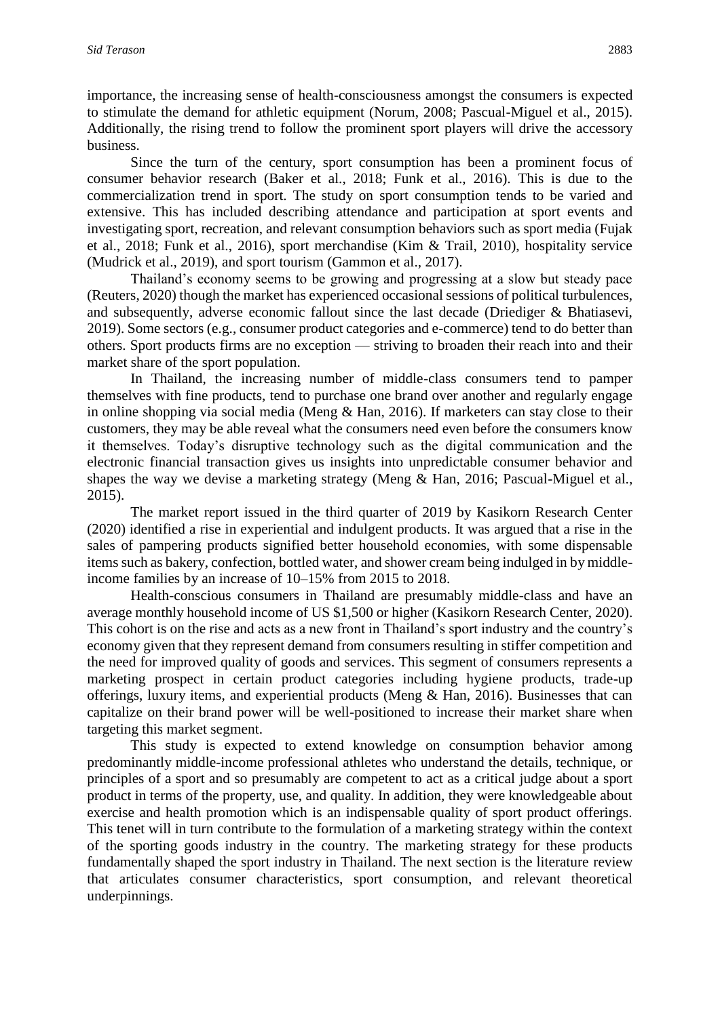importance, the increasing sense of health-consciousness amongst the consumers is expected to stimulate the demand for athletic equipment (Norum, 2008; Pascual-Miguel et al., 2015). Additionally, the rising trend to follow the prominent sport players will drive the accessory business.

Since the turn of the century, sport consumption has been a prominent focus of consumer behavior research (Baker et al., 2018; Funk et al., 2016). This is due to the commercialization trend in sport. The study on sport consumption tends to be varied and extensive. This has included describing attendance and participation at sport events and investigating sport, recreation, and relevant consumption behaviors such as sport media (Fujak et al., 2018; Funk et al., 2016), sport merchandise (Kim & Trail, 2010), hospitality service (Mudrick et al., 2019), and sport tourism (Gammon et al., 2017).

Thailand's economy seems to be growing and progressing at a slow but steady pace (Reuters, 2020) though the market has experienced occasional sessions of political turbulences, and subsequently, adverse economic fallout since the last decade (Driediger & Bhatiasevi, 2019). Some sectors (e.g., consumer product categories and e-commerce) tend to do better than others. Sport products firms are no exception — striving to broaden their reach into and their market share of the sport population.

In Thailand, the increasing number of middle-class consumers tend to pamper themselves with fine products, tend to purchase one brand over another and regularly engage in online shopping via social media (Meng & Han, 2016). If marketers can stay close to their customers, they may be able reveal what the consumers need even before the consumers know it themselves. Today's disruptive technology such as the digital communication and the electronic financial transaction gives us insights into unpredictable consumer behavior and shapes the way we devise a marketing strategy (Meng & Han, 2016; Pascual-Miguel et al., 2015).

The market report issued in the third quarter of 2019 by Kasikorn Research Center (2020) identified a rise in experiential and indulgent products. It was argued that a rise in the sales of pampering products signified better household economies, with some dispensable items such as bakery, confection, bottled water, and shower cream being indulged in by middleincome families by an increase of 10–15% from 2015 to 2018.

Health-conscious consumers in Thailand are presumably middle-class and have an average monthly household income of US \$1,500 or higher (Kasikorn Research Center, 2020). This cohort is on the rise and acts as a new front in Thailand's sport industry and the country's economy given that they represent demand from consumers resulting in stiffer competition and the need for improved quality of goods and services. This segment of consumers represents a marketing prospect in certain product categories including hygiene products, trade-up offerings, luxury items, and experiential products (Meng & Han, 2016). Businesses that can capitalize on their brand power will be well-positioned to increase their market share when targeting this market segment.

This study is expected to extend knowledge on consumption behavior among predominantly middle-income professional athletes who understand the details, technique, or principles of a sport and so presumably are competent to act as a critical judge about a sport product in terms of the property, use, and quality. In addition, they were knowledgeable about exercise and health promotion which is an indispensable quality of sport product offerings. This tenet will in turn contribute to the formulation of a marketing strategy within the context of the sporting goods industry in the country. The marketing strategy for these products fundamentally shaped the sport industry in Thailand. The next section is the literature review that articulates consumer characteristics, sport consumption, and relevant theoretical underpinnings.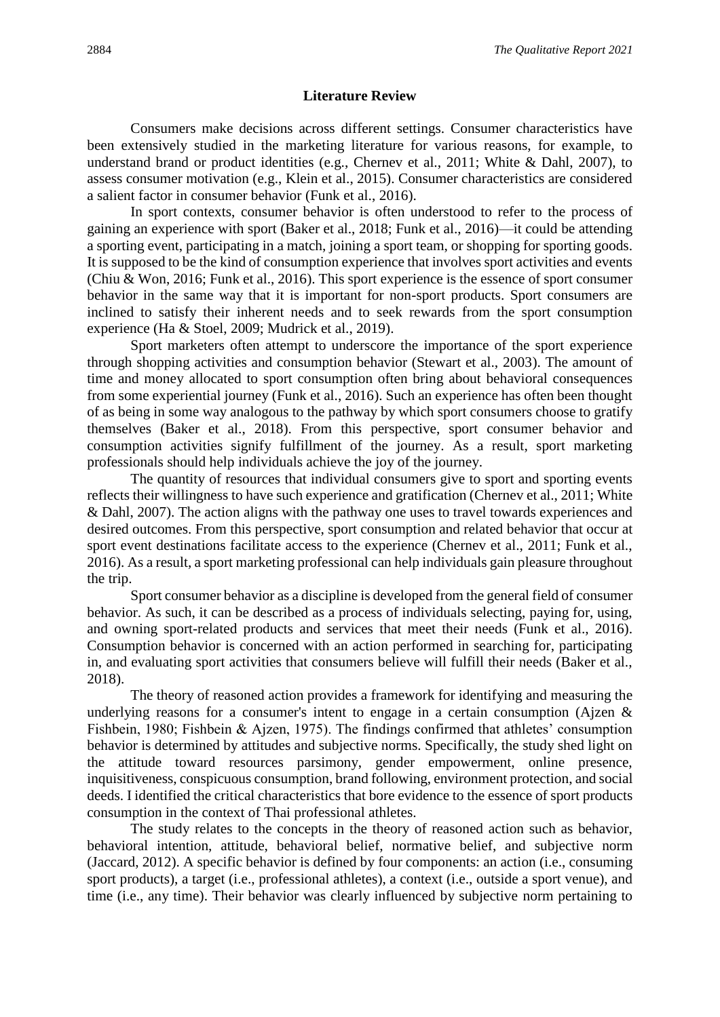#### **Literature Review**

Consumers make decisions across different settings. Consumer characteristics have been extensively studied in the marketing literature for various reasons, for example, to understand brand or product identities (e.g., Chernev et al., 2011; White & Dahl, 2007), to assess consumer motivation (e.g., Klein et al., 2015). Consumer characteristics are considered a salient factor in consumer behavior (Funk et al., 2016).

In sport contexts, consumer behavior is often understood to refer to the process of gaining an experience with sport (Baker et al., 2018; Funk et al., 2016)—it could be attending a sporting event, participating in a match, joining a sport team, or shopping for sporting goods. It is supposed to be the kind of consumption experience that involves sport activities and events (Chiu & Won, 2016; Funk et al., 2016). This sport experience is the essence of sport consumer behavior in the same way that it is important for non-sport products. Sport consumers are inclined to satisfy their inherent needs and to seek rewards from the sport consumption experience (Ha & Stoel, 2009; Mudrick et al., 2019).

Sport marketers often attempt to underscore the importance of the sport experience through shopping activities and consumption behavior (Stewart et al., 2003). The amount of time and money allocated to sport consumption often bring about behavioral consequences from some experiential journey (Funk et al., 2016). Such an experience has often been thought of as being in some way analogous to the pathway by which sport consumers choose to gratify themselves (Baker et al., 2018). From this perspective, sport consumer behavior and consumption activities signify fulfillment of the journey. As a result, sport marketing professionals should help individuals achieve the joy of the journey.

The quantity of resources that individual consumers give to sport and sporting events reflects their willingness to have such experience and gratification (Chernev et al., 2011; White & Dahl, 2007). The action aligns with the pathway one uses to travel towards experiences and desired outcomes. From this perspective, sport consumption and related behavior that occur at sport event destinations facilitate access to the experience (Chernev et al., 2011; Funk et al., 2016). As a result, a sport marketing professional can help individuals gain pleasure throughout the trip.

Sport consumer behavior as a discipline is developed from the general field of consumer behavior. As such, it can be described as a process of individuals selecting, paying for, using, and owning sport-related products and services that meet their needs (Funk et al., 2016). Consumption behavior is concerned with an action performed in searching for, participating in, and evaluating sport activities that consumers believe will fulfill their needs (Baker et al., 2018).

The theory of reasoned action provides a framework for identifying and measuring the underlying reasons for a consumer's intent to engage in a certain consumption (Ajzen & Fishbein, 1980; Fishbein & Ajzen, 1975). The findings confirmed that athletes' consumption behavior is determined by attitudes and subjective norms. Specifically, the study shed light on the attitude toward resources parsimony, gender empowerment, online presence, inquisitiveness, conspicuous consumption, brand following, environment protection, and social deeds. I identified the critical characteristics that bore evidence to the essence of sport products consumption in the context of Thai professional athletes.

The study relates to the concepts in the theory of reasoned action such as behavior, behavioral intention, attitude, behavioral belief, normative belief, and subjective norm (Jaccard, 2012). A specific behavior is defined by four components: an action (i.e., consuming sport products), a target (i.e., professional athletes), a context (i.e., outside a sport venue), and time (i.e., any time). Their behavior was clearly influenced by subjective norm pertaining to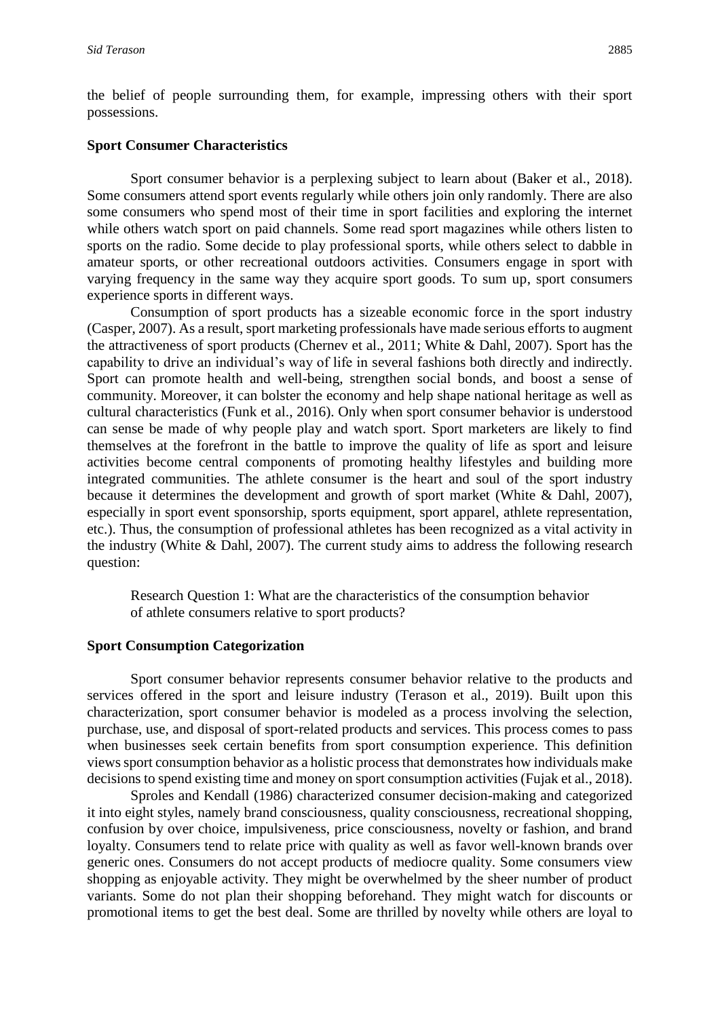the belief of people surrounding them, for example, impressing others with their sport possessions.

#### **Sport Consumer Characteristics**

Sport consumer behavior is a perplexing subject to learn about (Baker et al., 2018). Some consumers attend sport events regularly while others join only randomly. There are also some consumers who spend most of their time in sport facilities and exploring the internet while others watch sport on paid channels. Some read sport magazines while others listen to sports on the radio. Some decide to play professional sports, while others select to dabble in amateur sports, or other recreational outdoors activities. Consumers engage in sport with varying frequency in the same way they acquire sport goods. To sum up, sport consumers experience sports in different ways.

Consumption of sport products has a sizeable economic force in the sport industry (Casper, 2007). As a result, sport marketing professionals have made serious efforts to augment the attractiveness of sport products (Chernev et al., 2011; White & Dahl, 2007). Sport has the capability to drive an individual's way of life in several fashions both directly and indirectly. Sport can promote health and well-being, strengthen social bonds, and boost a sense of community. Moreover, it can bolster the economy and help shape national heritage as well as cultural characteristics (Funk et al., 2016). Only when sport consumer behavior is understood can sense be made of why people play and watch sport. Sport marketers are likely to find themselves at the forefront in the battle to improve the quality of life as sport and leisure activities become central components of promoting healthy lifestyles and building more integrated communities. The athlete consumer is the heart and soul of the sport industry because it determines the development and growth of sport market (White & Dahl, 2007), especially in sport event sponsorship, sports equipment, sport apparel, athlete representation, etc.). Thus, the consumption of professional athletes has been recognized as a vital activity in the industry (White & Dahl, 2007). The current study aims to address the following research question:

Research Question 1: What are the characteristics of the consumption behavior of athlete consumers relative to sport products?

#### **Sport Consumption Categorization**

Sport consumer behavior represents consumer behavior relative to the products and services offered in the sport and leisure industry (Terason et al., 2019). Built upon this characterization, sport consumer behavior is modeled as a process involving the selection, purchase, use, and disposal of sport-related products and services. This process comes to pass when businesses seek certain benefits from sport consumption experience. This definition views sport consumption behavior as a holistic process that demonstrates how individuals make decisions to spend existing time and money on sport consumption activities (Fujak et al., 2018).

Sproles and Kendall (1986) characterized consumer decision-making and categorized it into eight styles, namely brand consciousness, quality consciousness, recreational shopping, confusion by over choice, impulsiveness, price consciousness, novelty or fashion, and brand loyalty. Consumers tend to relate price with quality as well as favor well-known brands over generic ones. Consumers do not accept products of mediocre quality. Some consumers view shopping as enjoyable activity. They might be overwhelmed by the sheer number of product variants. Some do not plan their shopping beforehand. They might watch for discounts or promotional items to get the best deal. Some are thrilled by novelty while others are loyal to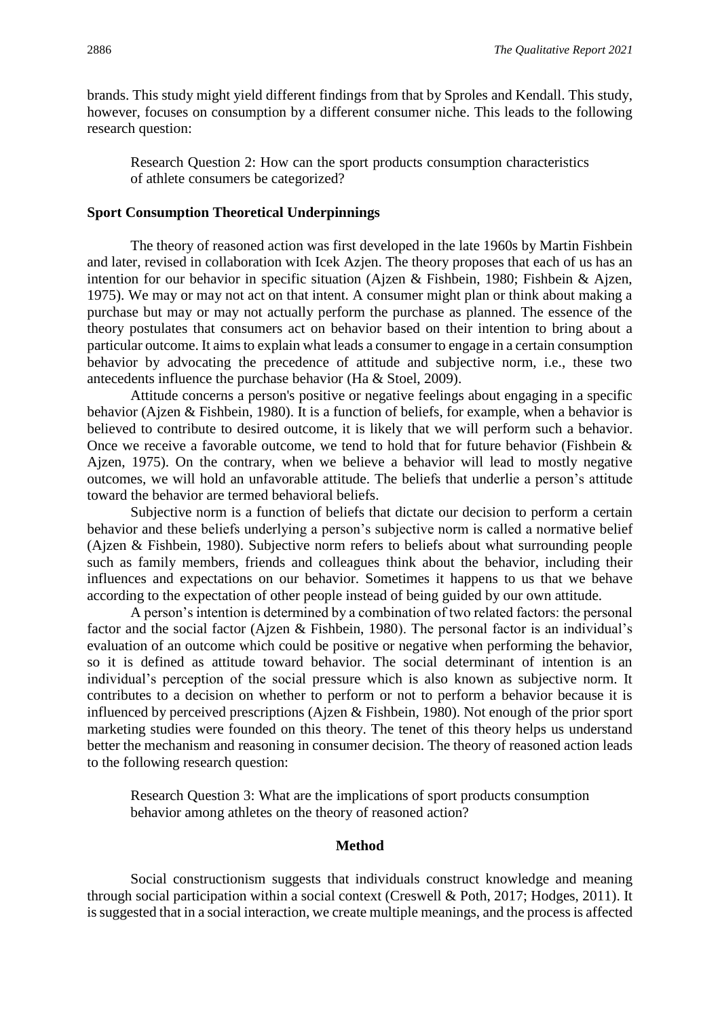brands. This study might yield different findings from that by Sproles and Kendall. This study, however, focuses on consumption by a different consumer niche. This leads to the following research question:

Research Question 2: How can the sport products consumption characteristics of athlete consumers be categorized?

#### **Sport Consumption Theoretical Underpinnings**

The theory of reasoned action was first developed in the late 1960s by Martin Fishbein and later, revised in collaboration with Icek Azjen. The theory proposes that each of us has an intention for our behavior in specific situation (Ajzen & Fishbein, 1980; Fishbein & Ajzen, 1975). We may or may not act on that intent. A consumer might plan or think about making a purchase but may or may not actually perform the purchase as planned. The essence of the theory postulates that consumers act on behavior based on their intention to bring about a particular outcome. It aims to explain what leads a consumer to engage in a certain consumption behavior by advocating the precedence of attitude and subjective norm, i.e., these two antecedents influence the purchase behavior (Ha & Stoel, 2009).

Attitude concerns a person's positive or negative feelings about engaging in a specific behavior (Ajzen & Fishbein, 1980). It is a function of beliefs, for example, when a behavior is believed to contribute to desired outcome, it is likely that we will perform such a behavior. Once we receive a favorable outcome, we tend to hold that for future behavior (Fishbein  $\&$ Ajzen, 1975). On the contrary, when we believe a behavior will lead to mostly negative outcomes, we will hold an unfavorable attitude. The beliefs that underlie a person's attitude toward the behavior are termed behavioral beliefs.

Subjective norm is a function of beliefs that dictate our decision to perform a certain behavior and these beliefs underlying a person's subjective norm is called a normative belief (Ajzen & Fishbein, 1980). Subjective norm refers to beliefs about what surrounding people such as family members, friends and colleagues think about the behavior, including their influences and expectations on our behavior. Sometimes it happens to us that we behave according to the expectation of other people instead of being guided by our own attitude.

A person's intention is determined by a combination of two related factors: the personal factor and the social factor (Ajzen & Fishbein, 1980). The personal factor is an individual's evaluation of an outcome which could be positive or negative when performing the behavior, so it is defined as attitude toward behavior. The social determinant of intention is an individual's perception of the social pressure which is also known as subjective norm. It contributes to a decision on whether to perform or not to perform a behavior because it is influenced by perceived prescriptions (Ajzen & Fishbein, 1980). Not enough of the prior sport marketing studies were founded on this theory. The tenet of this theory helps us understand better the mechanism and reasoning in consumer decision. The theory of reasoned action leads to the following research question:

Research Question 3: What are the implications of sport products consumption behavior among athletes on the theory of reasoned action?

#### **Method**

Social constructionism suggests that individuals construct knowledge and meaning through social participation within a social context (Creswell & Poth, 2017; Hodges, 2011). It is suggested that in a social interaction, we create multiple meanings, and the process is affected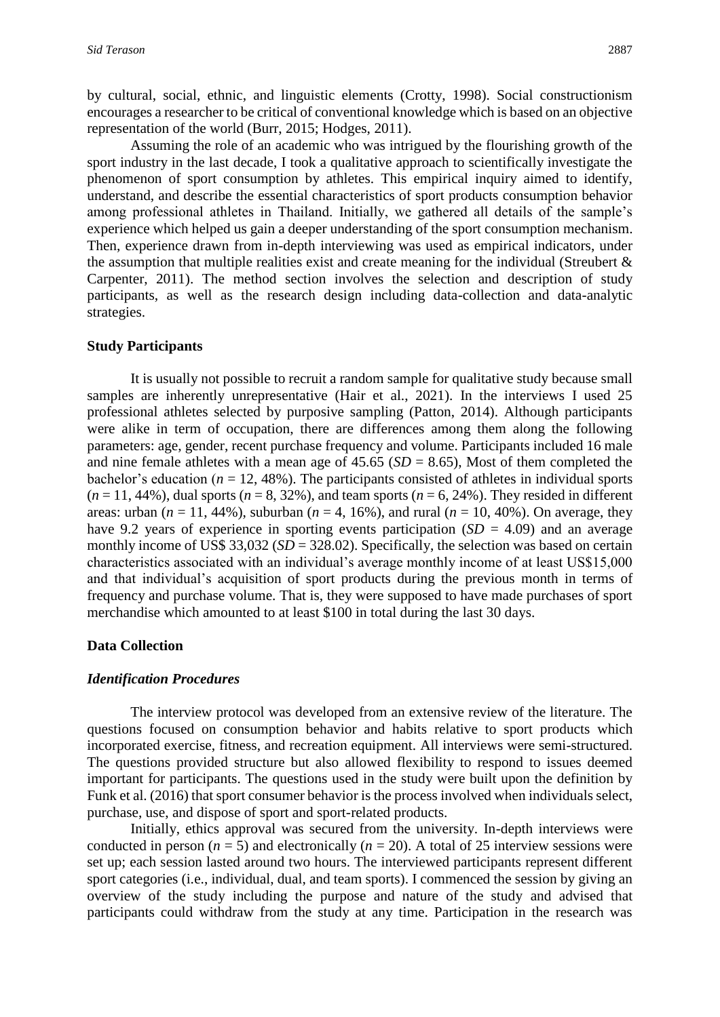by cultural, social, ethnic, and linguistic elements (Crotty, 1998). Social constructionism encourages a researcher to be critical of conventional knowledge which is based on an objective representation of the world (Burr, 2015; Hodges, 2011).

Assuming the role of an academic who was intrigued by the flourishing growth of the sport industry in the last decade, I took a qualitative approach to scientifically investigate the phenomenon of sport consumption by athletes. This empirical inquiry aimed to identify, understand, and describe the essential characteristics of sport products consumption behavior among professional athletes in Thailand. Initially, we gathered all details of the sample's experience which helped us gain a deeper understanding of the sport consumption mechanism. Then, experience drawn from in-depth interviewing was used as empirical indicators, under the assumption that multiple realities exist and create meaning for the individual (Streubert  $\&$ Carpenter, 2011). The method section involves the selection and description of study participants, as well as the research design including data-collection and data-analytic strategies.

#### **Study Participants**

It is usually not possible to recruit a random sample for qualitative study because small samples are inherently unrepresentative (Hair et al., 2021). In the interviews I used 25 professional athletes selected by purposive sampling (Patton, 2014). Although participants were alike in term of occupation, there are differences among them along the following parameters: age, gender, recent purchase frequency and volume. Participants included 16 male and nine female athletes with a mean age of  $45.65$  ( $SD = 8.65$ ), Most of them completed the bachelor's education ( $n = 12,48\%$ ). The participants consisted of athletes in individual sports  $(n = 11, 44\%)$ , dual sports  $(n = 8, 32\%)$ , and team sports  $(n = 6, 24\%)$ . They resided in different areas: urban ( $n = 11, 44\%$ ), suburban ( $n = 4, 16\%$ ), and rural ( $n = 10, 40\%$ ). On average, they have 9.2 years of experience in sporting events participation  $(SD = 4.09)$  and an average monthly income of US\$ 33,032 (*SD* = 328.02). Specifically, the selection was based on certain characteristics associated with an individual's average monthly income of at least US\$15,000 and that individual's acquisition of sport products during the previous month in terms of frequency and purchase volume. That is, they were supposed to have made purchases of sport merchandise which amounted to at least \$100 in total during the last 30 days.

#### **Data Collection**

#### *Identification Procedures*

The interview protocol was developed from an extensive review of the literature. The questions focused on consumption behavior and habits relative to sport products which incorporated exercise, fitness, and recreation equipment. All interviews were semi-structured. The questions provided structure but also allowed flexibility to respond to issues deemed important for participants. The questions used in the study were built upon the definition by Funk et al. (2016) that sport consumer behavior is the process involved when individuals select, purchase, use, and dispose of sport and sport-related products.

Initially, ethics approval was secured from the university. In-depth interviews were conducted in person  $(n = 5)$  and electronically  $(n = 20)$ . A total of 25 interview sessions were set up; each session lasted around two hours. The interviewed participants represent different sport categories (i.e., individual, dual, and team sports). I commenced the session by giving an overview of the study including the purpose and nature of the study and advised that participants could withdraw from the study at any time. Participation in the research was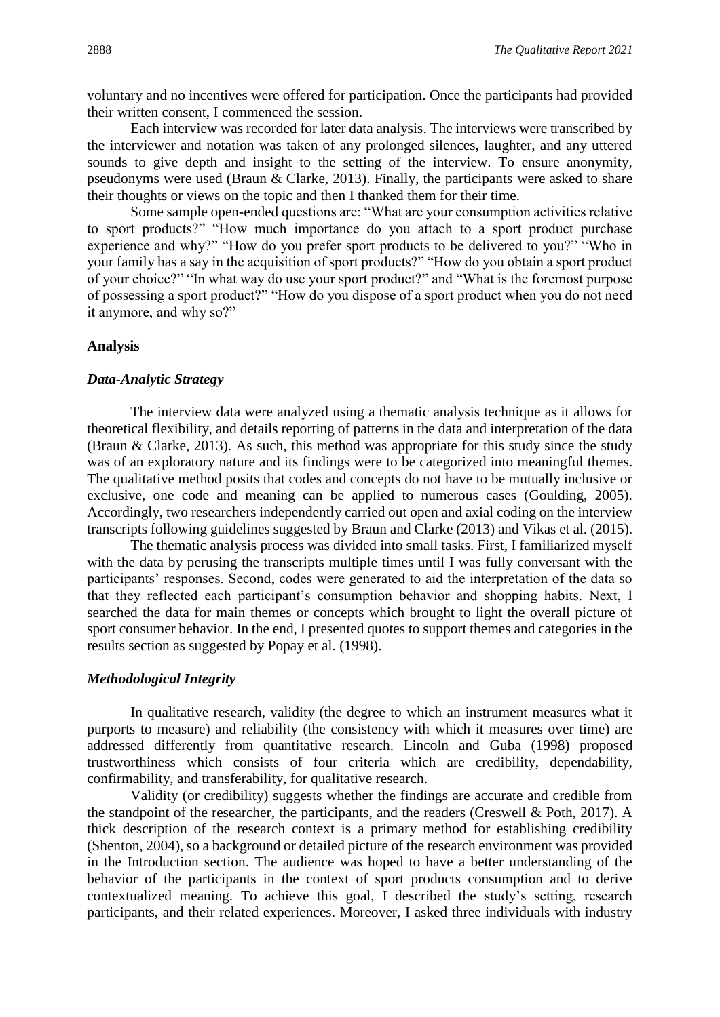voluntary and no incentives were offered for participation. Once the participants had provided their written consent, I commenced the session.

Each interview was recorded for later data analysis. The interviews were transcribed by the interviewer and notation was taken of any prolonged silences, laughter, and any uttered sounds to give depth and insight to the setting of the interview. To ensure anonymity, pseudonyms were used (Braun & Clarke, 2013). Finally, the participants were asked to share their thoughts or views on the topic and then I thanked them for their time.

Some sample open-ended questions are: "What are your consumption activities relative to sport products?" "How much importance do you attach to a sport product purchase experience and why?" "How do you prefer sport products to be delivered to you?" "Who in your family has a say in the acquisition of sport products?" "How do you obtain a sport product of your choice?" "In what way do use your sport product?" and "What is the foremost purpose of possessing a sport product?" "How do you dispose of a sport product when you do not need it anymore, and why so?"

#### **Analysis**

#### *Data-Analytic Strategy*

The interview data were analyzed using a thematic analysis technique as it allows for theoretical flexibility, and details reporting of patterns in the data and interpretation of the data (Braun & Clarke, 2013). As such, this method was appropriate for this study since the study was of an exploratory nature and its findings were to be categorized into meaningful themes. The qualitative method posits that codes and concepts do not have to be mutually inclusive or exclusive, one code and meaning can be applied to numerous cases (Goulding, 2005). Accordingly, two researchers independently carried out open and axial coding on the interview transcripts following guidelines suggested by Braun and Clarke (2013) and Vikas et al. (2015).

The thematic analysis process was divided into small tasks. First, I familiarized myself with the data by perusing the transcripts multiple times until I was fully conversant with the participants' responses. Second, codes were generated to aid the interpretation of the data so that they reflected each participant's consumption behavior and shopping habits. Next, I searched the data for main themes or concepts which brought to light the overall picture of sport consumer behavior. In the end, I presented quotes to support themes and categories in the results section as suggested by Popay et al. (1998).

#### *Methodological Integrity*

In qualitative research, validity (the degree to which an instrument measures what it purports to measure) and reliability (the consistency with which it measures over time) are addressed differently from quantitative research. Lincoln and Guba (1998) proposed trustworthiness which consists of four criteria which are credibility, dependability, confirmability, and transferability, for qualitative research.

Validity (or credibility) suggests whether the findings are accurate and credible from the standpoint of the researcher, the participants, and the readers (Creswell & Poth, 2017). A thick description of the research context is a primary method for establishing credibility (Shenton, 2004), so a background or detailed picture of the research environment was provided in the Introduction section. The audience was hoped to have a better understanding of the behavior of the participants in the context of sport products consumption and to derive contextualized meaning. To achieve this goal, I described the study's setting, research participants, and their related experiences. Moreover, I asked three individuals with industry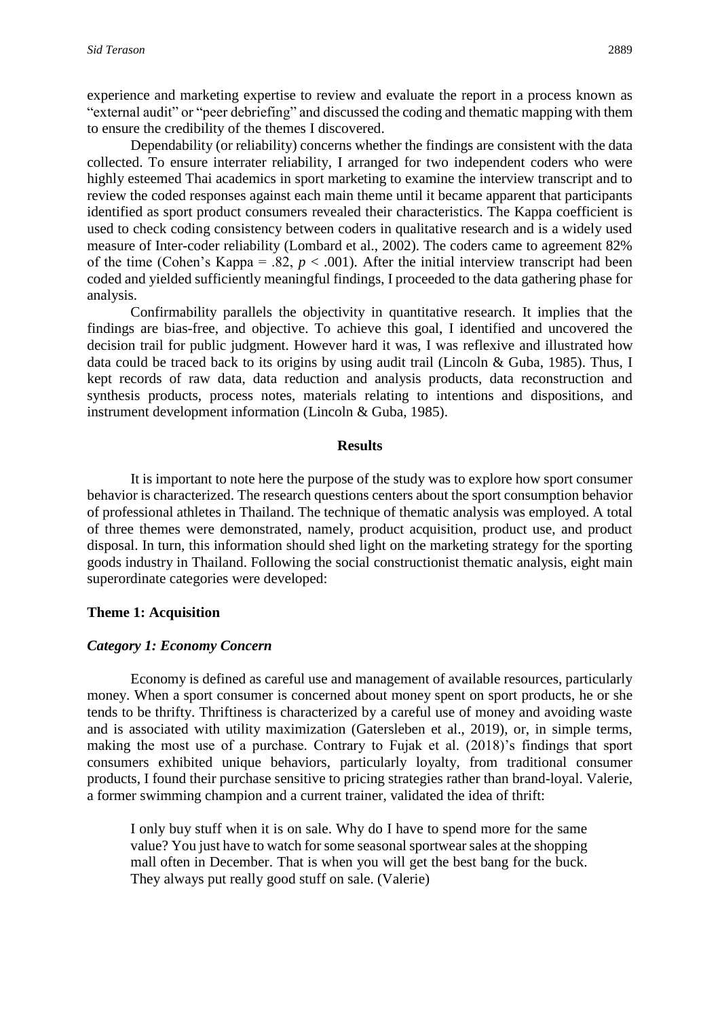experience and marketing expertise to review and evaluate the report in a process known as "external audit" or "peer debriefing" and discussed the coding and thematic mapping with them to ensure the credibility of the themes I discovered.

Dependability (or reliability) concerns whether the findings are consistent with the data collected. To ensure interrater reliability, I arranged for two independent coders who were highly esteemed Thai academics in sport marketing to examine the interview transcript and to review the coded responses against each main theme until it became apparent that participants identified as sport product consumers revealed their characteristics. The Kappa coefficient is used to check coding consistency between coders in qualitative research and is a widely used measure of Inter-coder reliability (Lombard et al., 2002). The coders came to agreement 82% of the time (Cohen's Kappa = .82,  $p < .001$ ). After the initial interview transcript had been coded and yielded sufficiently meaningful findings, I proceeded to the data gathering phase for analysis.

Confirmability parallels the objectivity in quantitative research. It implies that the findings are bias-free, and objective. To achieve this goal, I identified and uncovered the decision trail for public judgment. However hard it was, I was reflexive and illustrated how data could be traced back to its origins by using audit trail (Lincoln & Guba, 1985). Thus, I kept records of raw data, data reduction and analysis products, data reconstruction and synthesis products, process notes, materials relating to intentions and dispositions, and instrument development information (Lincoln & Guba, 1985).

#### **Results**

It is important to note here the purpose of the study was to explore how sport consumer behavior is characterized. The research questions centers about the sport consumption behavior of professional athletes in Thailand. The technique of thematic analysis was employed. A total of three themes were demonstrated, namely, product acquisition, product use, and product disposal. In turn, this information should shed light on the marketing strategy for the sporting goods industry in Thailand. Following the social constructionist thematic analysis, eight main superordinate categories were developed:

#### **Theme 1: Acquisition**

#### *Category 1: Economy Concern*

Economy is defined as careful use and management of available resources, particularly money. When a sport consumer is concerned about money spent on sport products, he or she tends to be thrifty. Thriftiness is characterized by a careful use of money and avoiding waste and is associated with utility maximization (Gatersleben et al., 2019), or, in simple terms, making the most use of a purchase. Contrary to Fujak et al. (2018)'s findings that sport consumers exhibited unique behaviors, particularly loyalty, from traditional consumer products, I found their purchase sensitive to pricing strategies rather than brand-loyal. Valerie, a former swimming champion and a current trainer, validated the idea of thrift:

I only buy stuff when it is on sale. Why do I have to spend more for the same value? You just have to watch for some seasonal sportwear sales at the shopping mall often in December. That is when you will get the best bang for the buck. They always put really good stuff on sale. (Valerie)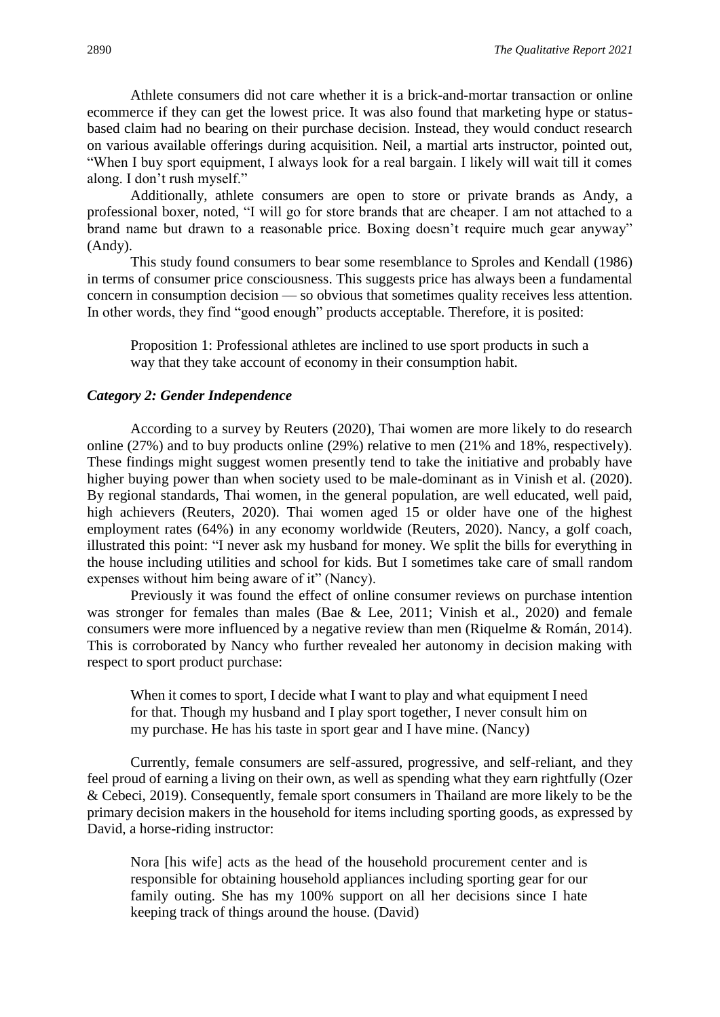Athlete consumers did not care whether it is a brick-and-mortar transaction or online ecommerce if they can get the lowest price. It was also found that marketing hype or statusbased claim had no bearing on their purchase decision. Instead, they would conduct research on various available offerings during acquisition. Neil, a martial arts instructor, pointed out, "When I buy sport equipment, I always look for a real bargain. I likely will wait till it comes along. I don't rush myself."

Additionally, athlete consumers are open to store or private brands as Andy, a professional boxer, noted, "I will go for store brands that are cheaper. I am not attached to a brand name but drawn to a reasonable price. Boxing doesn't require much gear anyway" (Andy).

This study found consumers to bear some resemblance to Sproles and Kendall (1986) in terms of consumer price consciousness. This suggests price has always been a fundamental concern in consumption decision — so obvious that sometimes quality receives less attention. In other words, they find "good enough" products acceptable. Therefore, it is posited:

Proposition 1: Professional athletes are inclined to use sport products in such a way that they take account of economy in their consumption habit.

#### *Category 2: Gender Independence*

According to a survey by Reuters (2020), Thai women are more likely to do research online (27%) and to buy products online (29%) relative to men (21% and 18%, respectively). These findings might suggest women presently tend to take the initiative and probably have higher buying power than when society used to be male-dominant as in Vinish et al. (2020). By regional standards, Thai women, in the general population, are well educated, well paid, high achievers (Reuters, 2020). Thai women aged 15 or older have one of the highest employment rates (64%) in any economy worldwide (Reuters, 2020). Nancy, a golf coach, illustrated this point: "I never ask my husband for money. We split the bills for everything in the house including utilities and school for kids. But I sometimes take care of small random expenses without him being aware of it" (Nancy).

Previously it was found the effect of online consumer reviews on purchase intention was stronger for females than males (Bae & Lee, 2011; Vinish et al., 2020) and female consumers were more influenced by a negative review than men (Riquelme & Román, 2014). This is corroborated by Nancy who further revealed her autonomy in decision making with respect to sport product purchase:

When it comes to sport, I decide what I want to play and what equipment I need for that. Though my husband and I play sport together, I never consult him on my purchase. He has his taste in sport gear and I have mine. (Nancy)

Currently, female consumers are self-assured, progressive, and self-reliant, and they feel proud of earning a living on their own, as well as spending what they earn rightfully (Ozer & Cebeci, 2019). Consequently, female sport consumers in Thailand are more likely to be the primary decision makers in the household for items including sporting goods, as expressed by David, a horse-riding instructor:

Nora [his wife] acts as the head of the household procurement center and is responsible for obtaining household appliances including sporting gear for our family outing. She has my 100% support on all her decisions since I hate keeping track of things around the house. (David)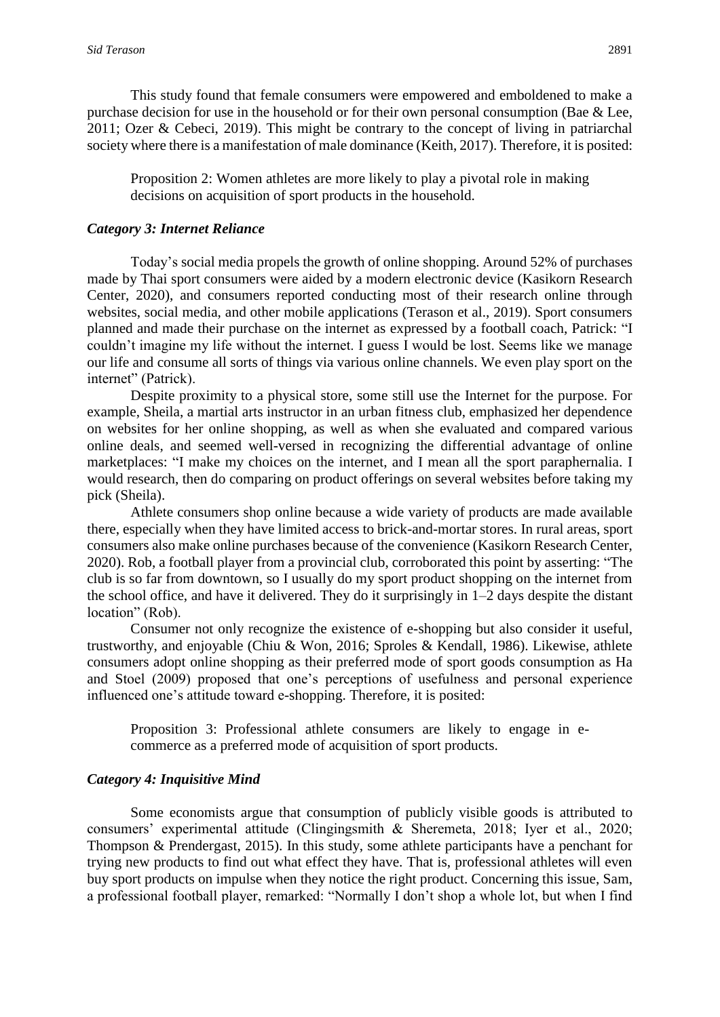This study found that female consumers were empowered and emboldened to make a purchase decision for use in the household or for their own personal consumption (Bae & Lee, 2011; Ozer & Cebeci, 2019). This might be contrary to the concept of living in patriarchal society where there is a manifestation of male dominance (Keith, 2017). Therefore, it is posited:

Proposition 2: Women athletes are more likely to play a pivotal role in making decisions on acquisition of sport products in the household.

#### *Category 3: Internet Reliance*

Today's social media propels the growth of online shopping. Around 52% of purchases made by Thai sport consumers were aided by a modern electronic device (Kasikorn Research Center, 2020), and consumers reported conducting most of their research online through websites, social media, and other mobile applications (Terason et al., 2019). Sport consumers planned and made their purchase on the internet as expressed by a football coach, Patrick: "I couldn't imagine my life without the internet. I guess I would be lost. Seems like we manage our life and consume all sorts of things via various online channels. We even play sport on the internet" (Patrick).

Despite proximity to a physical store, some still use the Internet for the purpose. For example, Sheila, a martial arts instructor in an urban fitness club, emphasized her dependence on websites for her online shopping, as well as when she evaluated and compared various online deals, and seemed well-versed in recognizing the differential advantage of online marketplaces: "I make my choices on the internet, and I mean all the sport paraphernalia. I would research, then do comparing on product offerings on several websites before taking my pick (Sheila).

Athlete consumers shop online because a wide variety of products are made available there, especially when they have limited access to brick-and-mortar stores. In rural areas, sport consumers also make online purchases because of the convenience (Kasikorn Research Center, 2020). Rob, a football player from a provincial club, corroborated this point by asserting: "The club is so far from downtown, so I usually do my sport product shopping on the internet from the school office, and have it delivered. They do it surprisingly in 1–2 days despite the distant location" (Rob).

Consumer not only recognize the existence of e-shopping but also consider it useful, trustworthy, and enjoyable (Chiu & Won, 2016; Sproles & Kendall, 1986). Likewise, athlete consumers adopt online shopping as their preferred mode of sport goods consumption as Ha and Stoel (2009) proposed that one's perceptions of usefulness and personal experience influenced one's attitude toward e-shopping. Therefore, it is posited:

Proposition 3: Professional athlete consumers are likely to engage in ecommerce as a preferred mode of acquisition of sport products.

#### *Category 4: Inquisitive Mind*

Some economists argue that consumption of publicly visible goods is attributed to consumers' experimental attitude (Clingingsmith & Sheremeta, 2018; Iyer et al., 2020; Thompson & Prendergast, 2015). In this study, some athlete participants have a penchant for trying new products to find out what effect they have. That is, professional athletes will even buy sport products on impulse when they notice the right product. Concerning this issue, Sam, a professional football player, remarked: "Normally I don't shop a whole lot, but when I find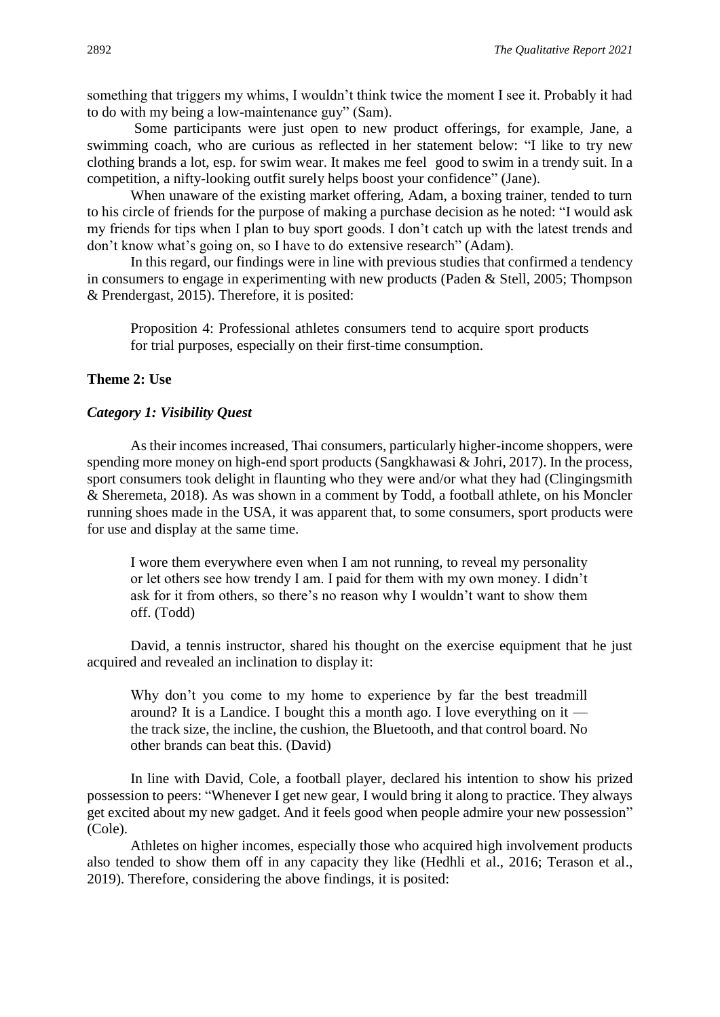something that triggers my whims, I wouldn't think twice the moment I see it. Probably it had to do with my being a low-maintenance guy" (Sam).

Some participants were just open to new product offerings, for example, Jane, a swimming coach, who are curious as reflected in her statement below: "I like to try new clothing brands a lot, esp. for swim wear. It makes me feel good to swim in a trendy suit. In a competition, a nifty-looking outfit surely helps boost your confidence" (Jane).

When unaware of the existing market offering, Adam, a boxing trainer, tended to turn to his circle of friends for the purpose of making a purchase decision as he noted: "I would ask my friends for tips when I plan to buy sport goods. I don't catch up with the latest trends and don't know what's going on, so I have to do extensive research" (Adam).

In this regard, our findings were in line with previous studies that confirmed a tendency in consumers to engage in experimenting with new products (Paden & Stell, 2005; Thompson & Prendergast, 2015). Therefore, it is posited:

Proposition 4: Professional athletes consumers tend to acquire sport products for trial purposes, especially on their first-time consumption.

#### **Theme 2: Use**

#### *Category 1: Visibility Quest*

As their incomes increased, Thai consumers, particularly higher-income shoppers, were spending more money on high-end sport products (Sangkhawasi & Johri, 2017). In the process, sport consumers took delight in flaunting who they were and/or what they had (Clingingsmith & Sheremeta, 2018). As was shown in a comment by Todd, a football athlete, on his Moncler running shoes made in the USA, it was apparent that, to some consumers, sport products were for use and display at the same time.

I wore them everywhere even when I am not running, to reveal my personality or let others see how trendy I am. I paid for them with my own money. I didn't ask for it from others, so there's no reason why I wouldn't want to show them off. (Todd)

David, a tennis instructor, shared his thought on the exercise equipment that he just acquired and revealed an inclination to display it:

Why don't you come to my home to experience by far the best treadmill around? It is a Landice. I bought this a month ago. I love everything on it the track size, the incline, the cushion, the Bluetooth, and that control board. No other brands can beat this. (David)

In line with David, Cole, a football player, declared his intention to show his prized possession to peers: "Whenever I get new gear, I would bring it along to practice. They always get excited about my new gadget. And it feels good when people admire your new possession" (Cole).

Athletes on higher incomes, especially those who acquired high involvement products also tended to show them off in any capacity they like (Hedhli et al., 2016; Terason et al., 2019). Therefore, considering the above findings, it is posited: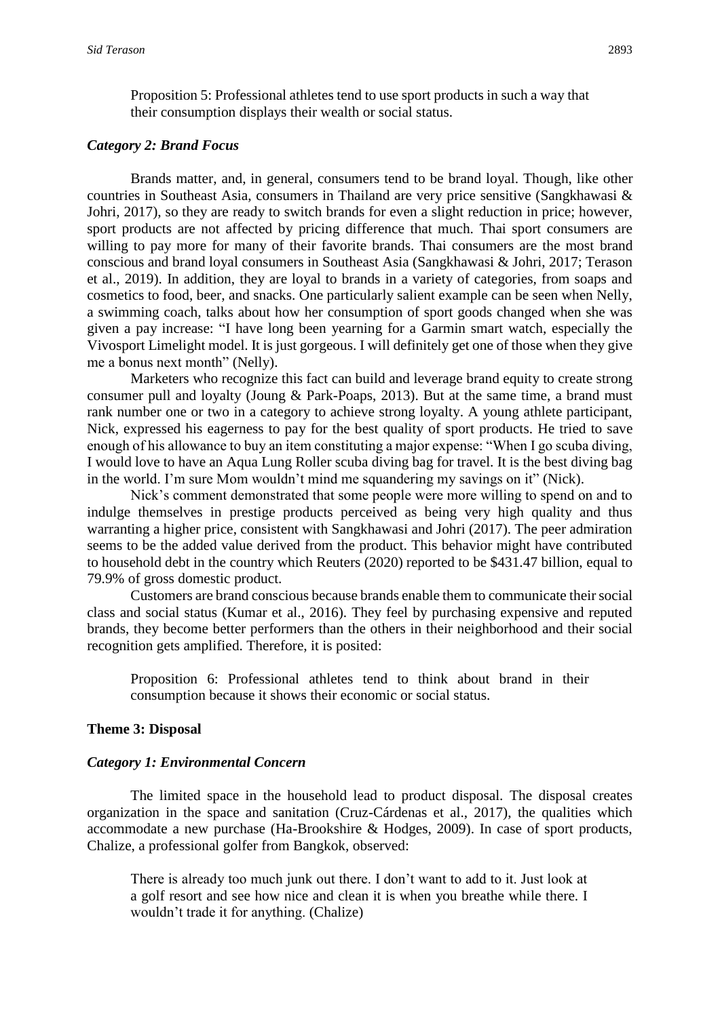Proposition 5: Professional athletes tend to use sport products in such a way that their consumption displays their wealth or social status.

#### *Category 2: Brand Focus*

Brands matter, and, in general, consumers tend to be brand loyal. Though, like other countries in Southeast Asia, consumers in Thailand are very price sensitive (Sangkhawasi & Johri, 2017), so they are ready to switch brands for even a slight reduction in price; however, sport products are not affected by pricing difference that much. Thai sport consumers are willing to pay more for many of their favorite brands. Thai consumers are the most brand conscious and brand loyal consumers in Southeast Asia (Sangkhawasi & Johri, 2017; Terason et al., 2019). In addition, they are loyal to brands in a variety of categories, from soaps and cosmetics to food, beer, and snacks. One particularly salient example can be seen when Nelly, a swimming coach, talks about how her consumption of sport goods changed when she was given a pay increase: "I have long been yearning for a Garmin smart watch, especially the Vivosport Limelight model. It is just gorgeous. I will definitely get one of those when they give me a bonus next month" (Nelly).

Marketers who recognize this fact can build and leverage brand equity to create strong consumer pull and loyalty (Joung & Park-Poaps, 2013). But at the same time, a brand must rank number one or two in a category to achieve strong loyalty. A young athlete participant, Nick, expressed his eagerness to pay for the best quality of sport products. He tried to save enough of his allowance to buy an item constituting a major expense: "When I go scuba diving, I would love to have an Aqua Lung Roller scuba diving bag for travel. It is the best diving bag in the world. I'm sure Mom wouldn't mind me squandering my savings on it" (Nick).

Nick's comment demonstrated that some people were more willing to spend on and to indulge themselves in prestige products perceived as being very high quality and thus warranting a higher price, consistent with Sangkhawasi and Johri (2017). The peer admiration seems to be the added value derived from the product. This behavior might have contributed to household debt in the country which Reuters (2020) reported to be \$431.47 billion, equal to 79.9% of gross domestic product.

Customers are brand conscious because brands enable them to communicate their social class and social status (Kumar et al., 2016). They feel by purchasing expensive and reputed brands, they become better performers than the others in their neighborhood and their social recognition gets amplified. Therefore, it is posited:

Proposition 6: Professional athletes tend to think about brand in their consumption because it shows their economic or social status.

#### **Theme 3: Disposal**

#### *Category 1: Environmental Concern*

The limited space in the household lead to product disposal. The disposal creates organization in the space and sanitation (Cruz-Cárdenas et al., 2017), the qualities which accommodate a new purchase (Ha-Brookshire & Hodges, 2009). In case of sport products, Chalize, a professional golfer from Bangkok, observed:

There is already too much junk out there. I don't want to add to it. Just look at a golf resort and see how nice and clean it is when you breathe while there. I wouldn't trade it for anything. (Chalize)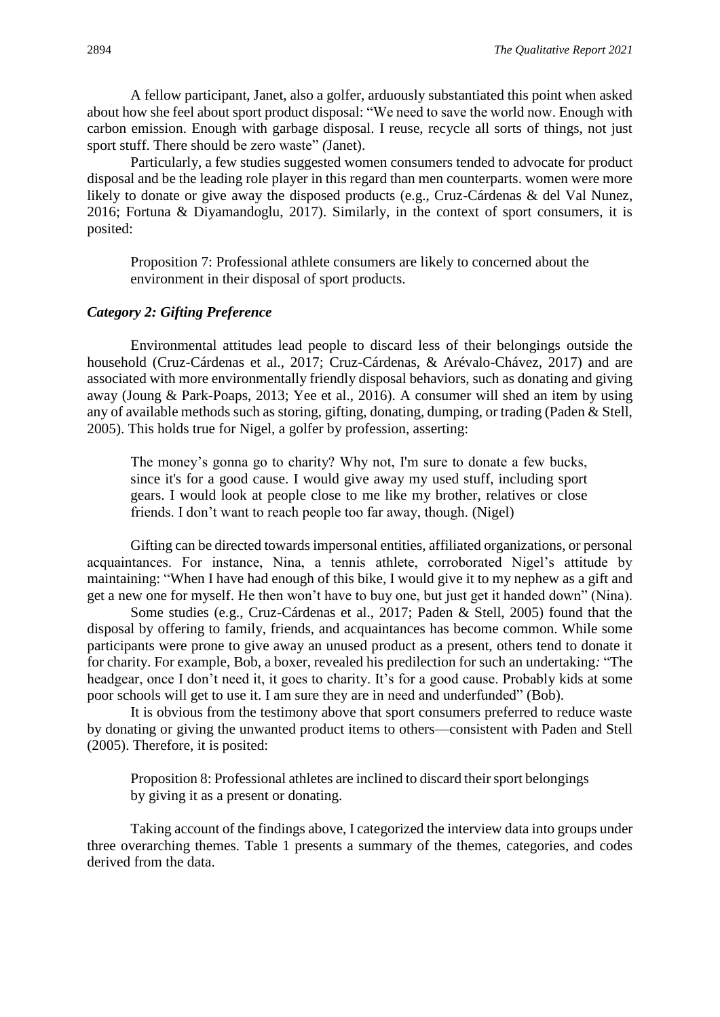A fellow participant, Janet, also a golfer, arduously substantiated this point when asked about how she feel about sport product disposal: "We need to save the world now. Enough with carbon emission. Enough with garbage disposal. I reuse, recycle all sorts of things, not just sport stuff. There should be zero waste" *(*Janet).

Particularly, a few studies suggested women consumers tended to advocate for product disposal and be the leading role player in this regard than men counterparts. women were more likely to donate or give away the disposed products (e.g., Cruz-Cárdenas & del Val Nunez, 2016; Fortuna & Diyamandoglu, 2017). Similarly, in the context of sport consumers, it is posited:

Proposition 7: Professional athlete consumers are likely to concerned about the environment in their disposal of sport products.

#### *Category 2: Gifting Preference*

Environmental attitudes lead people to discard less of their belongings outside the household (Cruz-Cárdenas et al., 2017; Cruz-Cárdenas, & Arévalo-Chávez, 2017) and are associated with more environmentally friendly disposal behaviors, such as donating and giving away (Joung & Park-Poaps, 2013; Yee et al., 2016). A consumer will shed an item by using any of available methods such as storing, gifting, donating, dumping, or trading (Paden & Stell, 2005). This holds true for Nigel, a golfer by profession, asserting:

The money's gonna go to charity? Why not, I'm sure to donate a few bucks, since it's for a good cause. I would give away my used stuff, including sport gears. I would look at people close to me like my brother, relatives or close friends. I don't want to reach people too far away, though. (Nigel)

Gifting can be directed towards impersonal entities, affiliated organizations, or personal acquaintances. For instance, Nina, a tennis athlete, corroborated Nigel's attitude by maintaining: "When I have had enough of this bike, I would give it to my nephew as a gift and get a new one for myself. He then won't have to buy one, but just get it handed down" (Nina).

Some studies (e.g., Cruz-Cárdenas et al., 2017; Paden & Stell, 2005) found that the disposal by offering to family, friends, and acquaintances has become common. While some participants were prone to give away an unused product as a present, others tend to donate it for charity. For example, Bob, a boxer, revealed his predilection for such an undertaking*:* "The headgear, once I don't need it, it goes to charity. It's for a good cause. Probably kids at some poor schools will get to use it. I am sure they are in need and underfunded" (Bob).

It is obvious from the testimony above that sport consumers preferred to reduce waste by donating or giving the unwanted product items to others—consistent with Paden and Stell (2005). Therefore, it is posited:

Proposition 8: Professional athletes are inclined to discard their sport belongings by giving it as a present or donating.

Taking account of the findings above, I categorized the interview data into groups under three overarching themes. Table 1 presents a summary of the themes, categories, and codes derived from the data.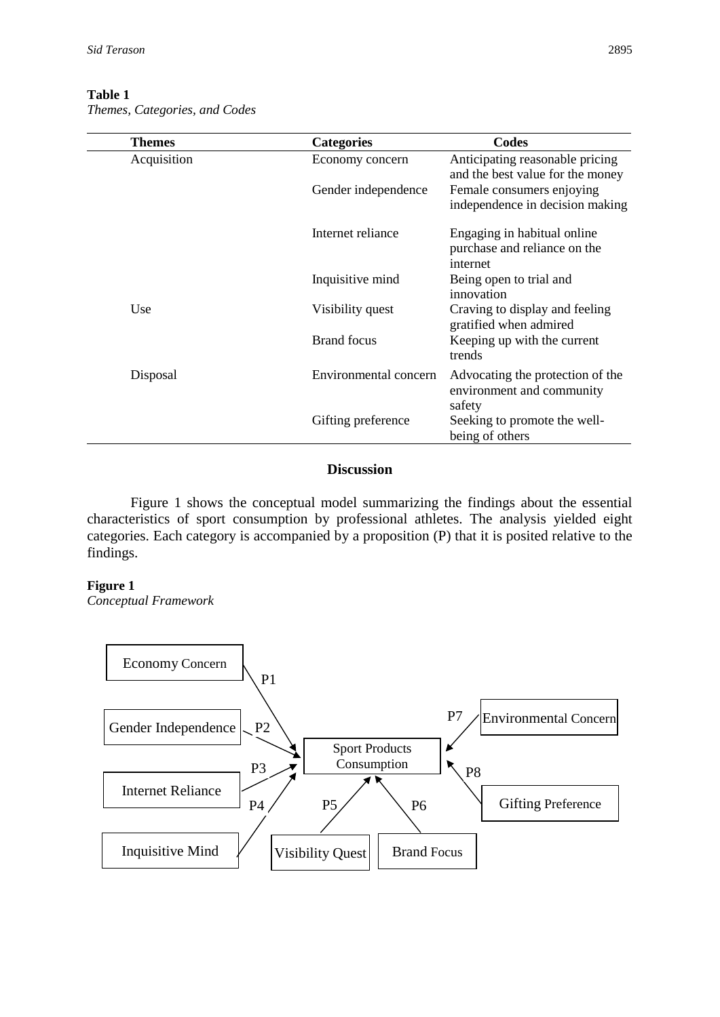## **Table 1**

*Themes, Categories, and Codes*

| <b>Themes</b> | <b>Categories</b>     | Codes                                                                   |
|---------------|-----------------------|-------------------------------------------------------------------------|
| Acquisition   | Economy concern       | Anticipating reasonable pricing<br>and the best value for the money     |
|               | Gender independence   | Female consumers enjoying<br>independence in decision making            |
|               | Internet reliance     | Engaging in habitual online<br>purchase and reliance on the<br>internet |
|               | Inquisitive mind      | Being open to trial and<br>innovation                                   |
| Use           | Visibility quest      | Craving to display and feeling<br>gratified when admired                |
|               | <b>Brand</b> focus    | Keeping up with the current<br>trends                                   |
| Disposal      | Environmental concern | Advocating the protection of the<br>environment and community<br>safety |
|               | Gifting preference    | Seeking to promote the well-<br>being of others                         |

# **Discussion**

Figure 1 shows the conceptual model summarizing the findings about the essential characteristics of sport consumption by professional athletes. The analysis yielded eight categories. Each category is accompanied by a proposition (P) that it is posited relative to the findings.

#### **Figure 1**

*Conceptual Framework*

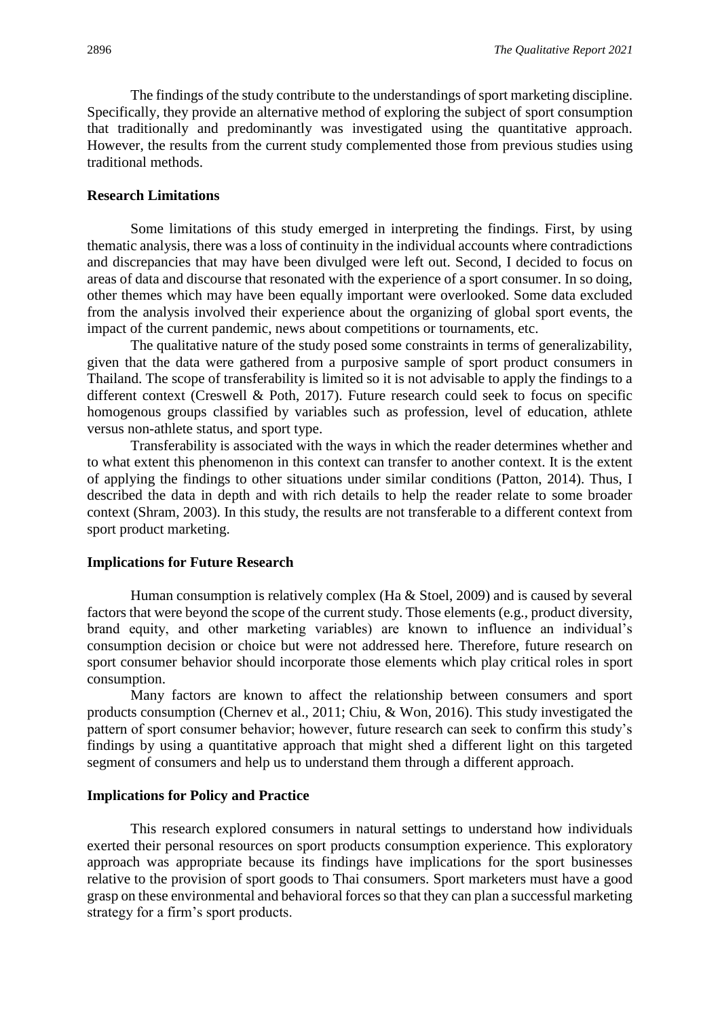The findings of the study contribute to the understandings of sport marketing discipline. Specifically, they provide an alternative method of exploring the subject of sport consumption that traditionally and predominantly was investigated using the quantitative approach. However, the results from the current study complemented those from previous studies using traditional methods.

## **Research Limitations**

Some limitations of this study emerged in interpreting the findings. First, by using thematic analysis, there was a loss of continuity in the individual accounts where contradictions and discrepancies that may have been divulged were left out. Second, I decided to focus on areas of data and discourse that resonated with the experience of a sport consumer. In so doing, other themes which may have been equally important were overlooked. Some data excluded from the analysis involved their experience about the organizing of global sport events, the impact of the current pandemic, news about competitions or tournaments, etc.

The qualitative nature of the study posed some constraints in terms of generalizability, given that the data were gathered from a purposive sample of sport product consumers in Thailand. The scope of transferability is limited so it is not advisable to apply the findings to a different context (Creswell & Poth, 2017). Future research could seek to focus on specific homogenous groups classified by variables such as profession, level of education, athlete versus non-athlete status, and sport type.

Transferability is associated with the ways in which the reader determines whether and to what extent this phenomenon in this context can transfer to another context. It is the extent of applying the findings to other situations under similar conditions (Patton, 2014). Thus, I described the data in depth and with rich details to help the reader relate to some broader context (Shram, 2003). In this study, the results are not transferable to a different context from sport product marketing.

#### **Implications for Future Research**

Human consumption is relatively complex (Ha & Stoel, 2009) and is caused by several factors that were beyond the scope of the current study. Those elements (e.g., product diversity, brand equity, and other marketing variables) are known to influence an individual's consumption decision or choice but were not addressed here. Therefore, future research on sport consumer behavior should incorporate those elements which play critical roles in sport consumption.

Many factors are known to affect the relationship between consumers and sport products consumption (Chernev et al., 2011; Chiu, & Won, 2016). This study investigated the pattern of sport consumer behavior; however, future research can seek to confirm this study's findings by using a quantitative approach that might shed a different light on this targeted segment of consumers and help us to understand them through a different approach.

#### **Implications for Policy and Practice**

This research explored consumers in natural settings to understand how individuals exerted their personal resources on sport products consumption experience. This exploratory approach was appropriate because its findings have implications for the sport businesses relative to the provision of sport goods to Thai consumers. Sport marketers must have a good grasp on these environmental and behavioral forces so that they can plan a successful marketing strategy for a firm's sport products.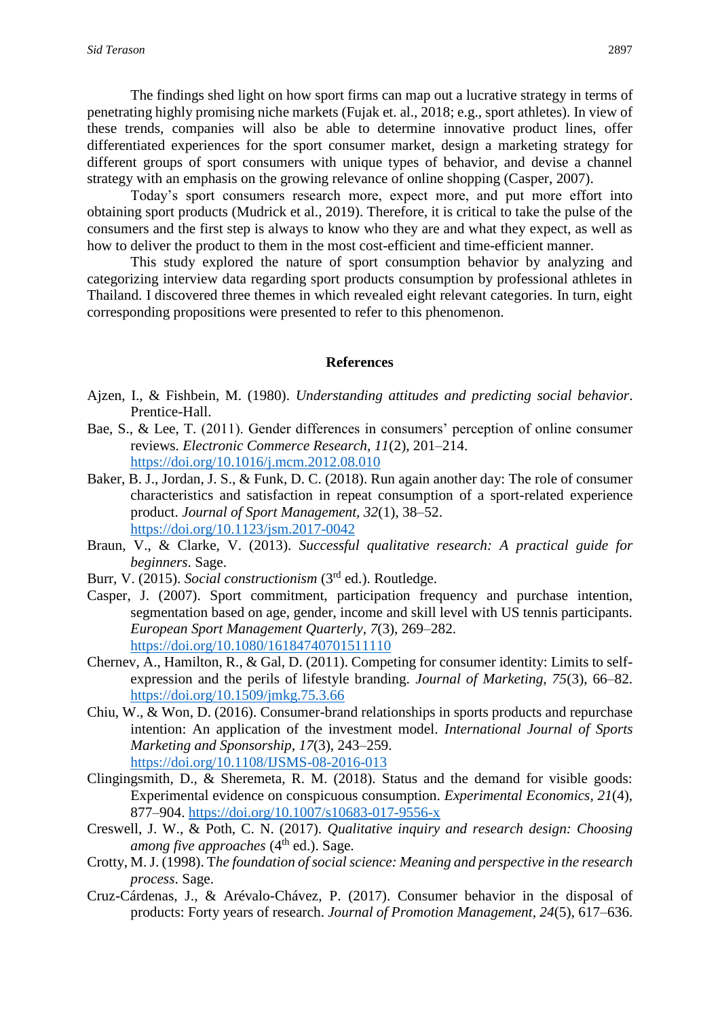The findings shed light on how sport firms can map out a lucrative strategy in terms of penetrating highly promising niche markets (Fujak et. al., 2018; e.g., sport athletes). In view of these trends, companies will also be able to determine innovative product lines, offer differentiated experiences for the sport consumer market, design a marketing strategy for different groups of sport consumers with unique types of behavior, and devise a channel strategy with an emphasis on the growing relevance of online shopping (Casper, 2007).

Today's sport consumers research more, expect more, and put more effort into obtaining sport products (Mudrick et al., 2019). Therefore, it is critical to take the pulse of the consumers and the first step is always to know who they are and what they expect, as well as how to deliver the product to them in the most cost-efficient and time-efficient manner.

This study explored the nature of sport consumption behavior by analyzing and categorizing interview data regarding sport products consumption by professional athletes in Thailand. I discovered three themes in which revealed eight relevant categories. In turn, eight corresponding propositions were presented to refer to this phenomenon.

#### **References**

- Ajzen, I., & Fishbein, M. (1980). *Understanding attitudes and predicting social behavior*. Prentice-Hall.
- Bae, S., & Lee, T. (2011). Gender differences in consumers' perception of online consumer reviews. *Electronic Commerce Research, 11*(2), 201–214. <https://doi.org/10.1016/j.mcm.2012.08.010>
- Baker, B. J., Jordan, J. S., & Funk, D. C. (2018). Run again another day: The role of consumer characteristics and satisfaction in repeat consumption of a sport-related experience product. *Journal of Sport Management, 32*(1), 38–52. <https://doi.org/10.1123/jsm.2017-0042>
- Braun, V., & Clarke, V. (2013). *Successful qualitative research: A practical guide for beginners*. Sage.
- Burr, V. (2015). *Social constructionism* (3rd ed.). Routledge.
- Casper, J. (2007). Sport commitment, participation frequency and purchase intention, segmentation based on age, gender, income and skill level with US tennis participants. *European Sport Management Quarterly, 7*(3), 269–282. <https://doi.org/10.1080/16184740701511110>
- Chernev, A., Hamilton, R., & Gal, D. (2011). Competing for consumer identity: Limits to selfexpression and the perils of lifestyle branding. *Journal of Marketing, 75*(3), 66–82. <https://doi.org/10.1509/jmkg.75.3.66>
- Chiu, W., & Won, D. (2016). Consumer-brand relationships in sports products and repurchase intention: An application of the investment model. *International Journal of Sports Marketing and Sponsorship, 17*(3), 243–259. <https://doi.org/10.1108/IJSMS-08-2016-013>
- Clingingsmith, D., & Sheremeta, R. M. (2018). Status and the demand for visible goods: Experimental evidence on conspicuous consumption. *Experimental Economics, 21*(4), 877–904.<https://doi.org/10.1007/s10683-017-9556-x>
- Creswell, J. W., & Poth, C. N. (2017). *Qualitative inquiry and research design: Choosing among five approaches* (4<sup>th</sup> ed.). Sage.
- Crotty, M. J. (1998). T*he foundation of social science: Meaning and perspective in the research process*. Sage.
- Cruz-Cárdenas, J., & Arévalo-Chávez, P. (2017). Consumer behavior in the disposal of products: Forty years of research. *Journal of Promotion Management, 24*(5), 617–636.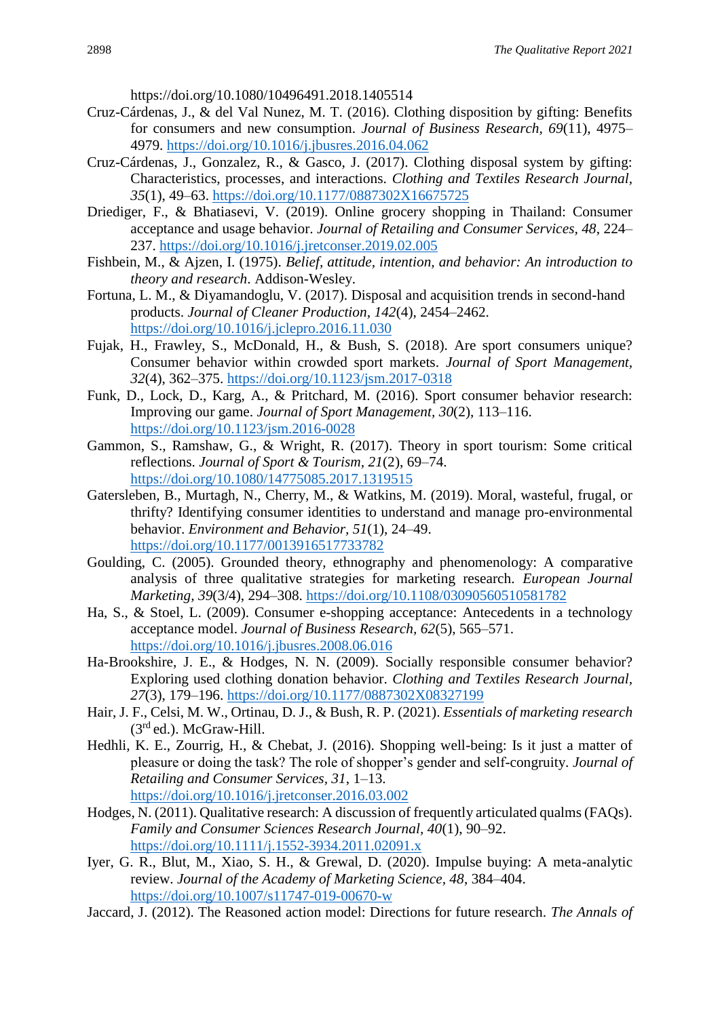https://doi.org/10.1080/10496491.2018.1405514

- Cruz-Cárdenas, J., & del Val Nunez, M. T. (2016). Clothing disposition by gifting: Benefits for consumers and new consumption. *Journal of Business Research, 69*(11), 4975– 4979.<https://doi.org/10.1016/j.jbusres.2016.04.062>
- Cruz-Cárdenas, J., Gonzalez, R., & Gasco, J. (2017). Clothing disposal system by gifting: Characteristics, processes, and interactions. *Clothing and Textiles Research Journal, 35*(1), 49–63.<https://doi.org/10.1177/0887302X16675725>
- Driediger, F., & Bhatiasevi, V. (2019). Online grocery shopping in Thailand: Consumer acceptance and usage behavior. *Journal of Retailing and Consumer Services, 48*, 224– 237.<https://doi.org/10.1016/j.jretconser.2019.02.005>
- Fishbein, M., & Ajzen, I. (1975). *Belief, attitude, intention, and behavior: An introduction to theory and research*. Addison-Wesley.
- Fortuna, L. M., & Diyamandoglu, V. (2017). Disposal and acquisition trends in second-hand products. *Journal of Cleaner Production, 142*(4), 2454–2462. <https://doi.org/10.1016/j.jclepro.2016.11.030>
- Fujak, H., Frawley, S., McDonald, H., & Bush, S. (2018). Are sport consumers unique? Consumer behavior within crowded sport markets. *Journal of Sport Management, 32*(4), 362–375.<https://doi.org/10.1123/jsm.2017-0318>
- Funk, D., Lock, D., Karg, A., & Pritchard, M. (2016). Sport consumer behavior research: Improving our game. *Journal of Sport Management, 30*(2), 113–116. <https://doi.org/10.1123/jsm.2016-0028>
- Gammon, S., Ramshaw, G., & Wright, R. (2017). Theory in sport tourism: Some critical reflections. *Journal of Sport & Tourism, 21*(2), 69–74. <https://doi.org/10.1080/14775085.2017.1319515>
- Gatersleben, B., Murtagh, N., Cherry, M., & Watkins, M. (2019). Moral, wasteful, frugal, or thrifty? Identifying consumer identities to understand and manage pro-environmental behavior. *Environment and Behavior, 51*(1), 24–49. <https://doi.org/10.1177/0013916517733782>
- Goulding, C. (2005). Grounded theory, ethnography and phenomenology: A comparative analysis of three qualitative strategies for marketing research. *European Journal Marketing, 39*(3/4), 294–308.<https://doi.org/10.1108/03090560510581782>
- Ha, S., & Stoel, L. (2009). Consumer e-shopping acceptance: Antecedents in a technology acceptance model. *Journal of Business Research, 62*(5), 565–571. <https://doi.org/10.1016/j.jbusres.2008.06.016>
- Ha-Brookshire, J. E., & Hodges, N. N. (2009). Socially responsible consumer behavior? Exploring used clothing donation behavior. *Clothing and Textiles Research Journal, 27*(3), 179–196.<https://doi.org/10.1177/0887302X08327199>
- Hair, J. F., Celsi, M. W., Ortinau, D. J., & Bush, R. P. (2021). *Essentials of marketing research*  $(3<sup>rd</sup>$ ed.). McGraw-Hill.
- Hedhli, K. E., Zourrig, H., & Chebat, J. (2016). Shopping well-being: Is it just a matter of pleasure or doing the task? The role of shopper's gender and self-congruity. *Journal of Retailing and Consumer Services, 31*, 1–13. <https://doi.org/10.1016/j.jretconser.2016.03.002>
- Hodges, N. (2011). Qualitative research: A discussion of frequently articulated qualms (FAQs). *Family and Consumer Sciences Research Journal, 40*(1), 90–92. <https://doi.org/10.1111/j.1552-3934.2011.02091.x>
- Iyer, G. R., Blut, M., Xiao, S. H., & Grewal, D. (2020). Impulse buying: A meta-analytic review. *Journal of the Academy of Marketing Science, 48*, 384–404. <https://doi.org/10.1007/s11747-019-00670-w>
- Jaccard, J. (2012). The Reasoned action model: Directions for future research. *The Annals of*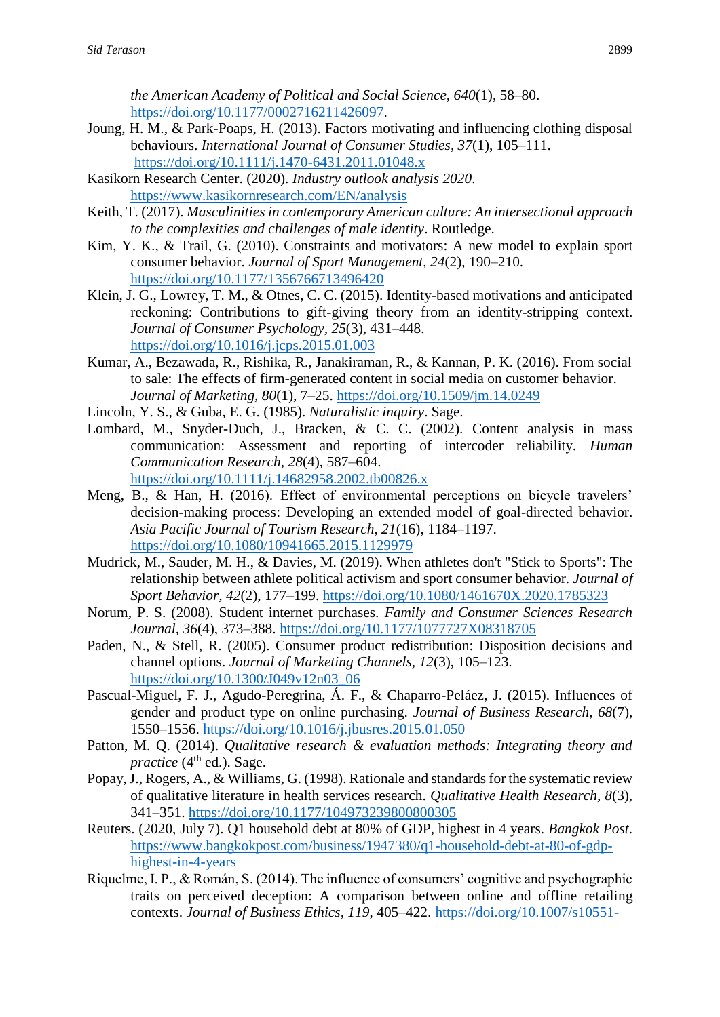*the American Academy of Political and Social Science, 640*(1), 58–80. [https://doi.org/10.1177/0002716211426097.](https://doi.org/10.1177/0002716211426097)

- Joung, H. M., & Park-Poaps, H. (2013). Factors motivating and influencing clothing disposal behaviours. *International Journal of Consumer Studies, 37*(1), 105–111. <https://doi.org/10.1111/j.1470-6431.2011.01048.x>
- Kasikorn Research Center. (2020). *Industry outlook analysis 2020*. <https://www.kasikornresearch.com/EN/analysis>
- Keith, T. (2017). *Masculinities in contemporary American culture: An intersectional approach to the complexities and challenges of male identity*. Routledge.
- Kim, Y. K., & Trail, G. (2010). Constraints and motivators: A new model to explain sport consumer behavior. *Journal of Sport Management, 24*(2), 190–210. <https://doi.org/10.1177/1356766713496420>
- Klein, J. G., Lowrey, T. M., & Otnes, C. C. (2015). Identity-based motivations and anticipated reckoning: Contributions to gift-giving theory from an identity-stripping context. *Journal of Consumer Psychology, 25*(3), 431–448. <https://doi.org/10.1016/j.jcps.2015.01.003>
- Kumar, A., Bezawada, R., Rishika, R., Janakiraman, R., & Kannan, P. K. (2016). From social to sale: The effects of firm-generated content in social media on customer behavior. *Journal of Marketing, 80*(1), 7–25.<https://doi.org/10.1509/jm.14.0249>
- Lincoln, Y. S., & Guba, E. G. (1985). *Naturalistic inquiry*. Sage.
- Lombard, M., Snyder-Duch, J., Bracken, & C. C. (2002). Content analysis in mass communication: Assessment and reporting of intercoder reliability. *Human Communication Research, 28*(4), 587–604. <https://doi.org/10.1111/j.14682958.2002.tb00826.x>
- Meng, B., & Han, H. (2016). Effect of environmental perceptions on bicycle travelers' decision-making process: Developing an extended model of goal-directed behavior. *Asia Pacific Journal of Tourism Research, 21*(16), 1184–1197. <https://doi.org/10.1080/10941665.2015.1129979>
- Mudrick, M., Sauder, M. H., & Davies, M. (2019). When athletes don't "Stick to Sports": The relationship between athlete political activism and sport consumer behavior. *Journal of Sport Behavior, 42*(2), 177–199.<https://doi.org/10.1080/1461670X.2020.1785323>
- Norum, P. S. (2008). Student internet purchases. *Family and Consumer Sciences Research Journal, 36*(4), 373–388.<https://doi.org/10.1177/1077727X08318705>
- Paden, N., & Stell, R. (2005). Consumer product redistribution: Disposition decisions and channel options. *Journal of Marketing Channels, 12*(3), 105–123. [https://doi.org/10.1300/J049v12n03\\_06](https://doi.org/10.1300/J049v12n03_06)
- Pascual-Miguel, F. J., Agudo-Peregrina, Á. F., & Chaparro-Peláez, J. (2015). Influences of gender and product type on online purchasing. *Journal of Business Research, 68*(7), 1550–1556. <https://doi.org/10.1016/j.jbusres.2015.01.050>
- Patton, M. Q. (2014). *Qualitative research & evaluation methods: Integrating theory and practice* ( $4<sup>th</sup>$  ed.). Sage.
- Popay, J., Rogers, A., & Williams, G. (1998). Rationale and standards for the systematic review of qualitative literature in health services research. *Qualitative Health Research, 8*(3), 341–351.<https://doi.org/10.1177/104973239800800305>
- Reuters. (2020, July 7). Q1 household debt at 80% of GDP, highest in 4 years. *Bangkok Post*. [https://www.bangkokpost.com/business/1947380/q1-household-debt-at-80-of-gdp](https://www.bangkokpost.com/business/1947380/q1-household-debt-at-80-of-gdp-highest-in-4-years)[highest-in-4-years](https://www.bangkokpost.com/business/1947380/q1-household-debt-at-80-of-gdp-highest-in-4-years)
- Riquelme, I. P., & Román, S. (2014). The influence of consumers' cognitive and psychographic traits on perceived deception: A comparison between online and offline retailing contexts. *Journal of Business Ethics, 119*, 405–422. [https://doi.org/10.1007/s10551-](https://doi.org/10.1007/s10551-013-1628-z)